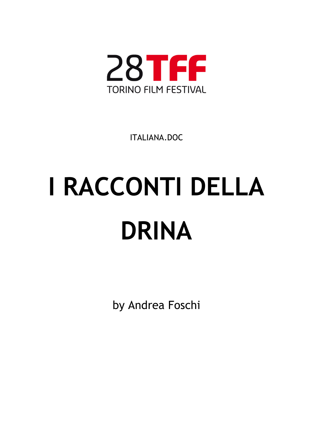

ITALIANA.DOC

# **I RACCONTI DELLA DRINA**

by Andrea Foschi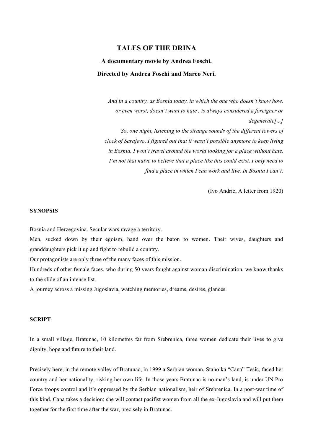# **TALES OF THE DRINA**

# **A documentary movie by Andrea Foschi. Directed by Andrea Foschi and Marco Neri.**

 *And in a country, as Bosnia today, in which the one who doesn't know how, or even worst, doesn't want to hate , is always considered a foreigner or degenerate[...]* 

 *So, one night, listening to the strange sounds of the different towers of clock of Sarajevo, I figured out that it wasn't possible anymore to keep living in Bosnia. I won't travel around the world looking for a place without hate, I'm not that naïve to believe that a place like this could exist. I only need to find a place in which I can work and live. In Bosnia I can't.*

(Ivo Andric, A letter from 1920)

## **SYNOPSIS**

Bosnia and Herzegovina. Secular wars ravage a territory.

Men, sucked down by their egoism, hand over the baton to women. Their wives, daughters and granddaughters pick it up and fight to rebuild a country.

Our protagonists are only three of the many faces of this mission.

Hundreds of other female faces, who during 50 years fought against woman discrimination, we know thanks to the slide of an intense list.

A journey across a missing Jugoslavia, watching memories, dreams, desires, glances.

#### **SCRIPT**

In a small village, Bratunac, 10 kilometres far from Srebrenica, three women dedicate their lives to give dignity, hope and future to their land.

Precisely here, in the remote valley of Bratunac, in 1999 a Serbian woman, Stanoika "Cana" Tesic, faced her country and her nationality, risking her own life. In those years Bratunac is no man's land, is under UN Pro Force troops control and it's oppressed by the Serbian nationalism, heir of Srebrenica. In a post-war time of this kind, Cana takes a decision: she will contact pacifist women from all the ex-Jugoslavia and will put them together for the first time after the war, precisely in Bratunac.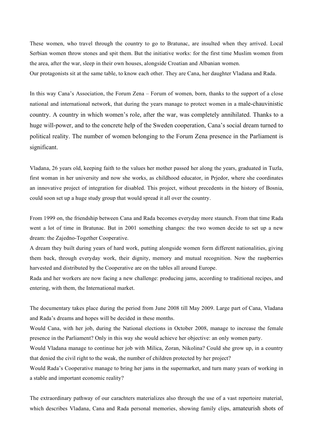These women, who travel through the country to go to Bratunac, are insulted when they arrived. Local Serbian women throw stones and spit them. But the initiative works: for the first time Muslim women from the area, after the war, sleep in their own houses, alongside Croatian and Albanian women. Our protagonists sit at the same table, to know each other. They are Cana, her daughter Vladana and Rada.

In this way Cana's Association, the Forum Zena – Forum of women, born, thanks to the support of a close national and international network, that during the years manage to protect women in a male-chauvinistic country. A country in which women's role, after the war, was completely annihilated. Thanks to a huge will-power, and to the concrete help of the Sweden cooperation, Cana's social dream turned to political reality. The number of women belonging to the Forum Zena presence in the Parliament is significant.

Vladana, 26 years old, keeping faith to the values her mother passed her along the years, graduated in Tuzla, first woman in her university and now she works, as childhood educator, in Prjedor, where she coordinates an innovative project of integration for disabled. This project, without precedents in the history of Bosnia, could soon set up a huge study group that would spread it all over the country.

From 1999 on, the friendship between Cana and Rada becomes everyday more staunch. From that time Rada went a lot of time in Bratunac. But in 2001 something changes: the two women decide to set up a new dream: the Zajedno-Together Cooperative.

A dream they built during years of hard work, putting alongside women form different nationalities, giving them back, through everyday work, their dignity, memory and mutual recognition. Now the raspberries harvested and distributed by the Cooperative are on the tables all around Europe.

Rada and her workers are now facing a new challenge: producing jams, according to traditional recipes, and entering, with them, the International market.

The documentary takes place during the period from June 2008 till May 2009. Large part of Cana, Vladana and Rada's dreams and hopes will be decided in these months.

Would Cana, with her job, during the National elections in October 2008, manage to increase the female presence in the Parliament? Only in this way she would achieve her objective: an only women party.

Would Vladana manage to continue her job with Milica, Zoran, Nikolina? Could she grow up, in a country that denied the civil right to the weak, the number of children protected by her project?

Would Rada's Cooperative manage to bring her jams in the supermarket, and turn many years of working in a stable and important economic reality?

The extraordinary pathway of our carachters materializes also through the use of a vast repertoire material, which describes Vladana, Cana and Rada personal memories, showing family clips, amateurish shots of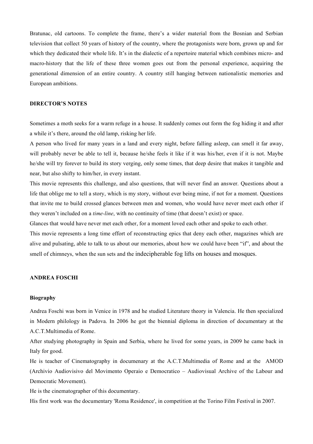Bratunac, old cartoons. To complete the frame, there's a wider material from the Bosnian and Serbian television that collect 50 years of history of the country, where the protagonists were born, grown up and for which they dedicated their whole life. It's in the dialectic of a repertoire material which combines micro- and macro-history that the life of these three women goes out from the personal experience, acquiring the generational dimension of an entire country. A country still hanging between nationalistic memories and European ambitions.

### **DIRECTOR'S NOTES**

Sometimes a moth seeks for a warm refuge in a house. It suddenly comes out form the fog hiding it and after a while it's there, around the old lamp, risking her life.

A person who lived for many years in a land and every night, before falling asleep, can smell it far away, will probably never be able to tell it, because he/she feels it like if it was his/her, even if it is not. Maybe he/she will try forever to build its story verging, only some times, that deep desire that makes it tangible and near, but also shifty to him/her, in every instant.

This movie represents this challenge, and also questions, that will never find an answer. Questions about a life that oblige me to tell a story, which is my story, without ever being mine, if not for a moment. Questions that invite me to build crossed glances between men and women, who would have never meet each other if they weren't included on a *time-line*, with no continuity of time (that doesn't exist) or space.

Glances that would have never met each other, for a moment loved each other and spoke to each other.

This movie represents a long time effort of reconstructing epics that deny each other, magazines which are alive and pulsating, able to talk to us about our memories, about how we could have been "if", and about the smell of chimneys, when the sun sets and the indecipherable fog lifts on houses and mosques.

# **ANDREA FOSCHI**

#### **Biography**

Andrea Foschi was born in Venice in 1978 and he studied Literature theory in Valencia. He then specialized in Modern philology in Padova. In 2006 he got the biennial diploma in direction of documentary at the A.C.T.Multimedia of Rome.

After studying photography in Spain and Serbia, where he lived for some years, in 2009 he came back in Italy for good.

He is teacher of Cinematography in documenary at the A.C.T.Multimedia of Rome and at the AMOD (Archivio Audiovisivo del Movimento Operaio e Democratico – Audiovisual Archive of the Labour and Democratic Movement).

He is the cinematographer of this documentary.

His first work was the documentary 'Roma Residence', in competition at the Torino Film Festival in 2007.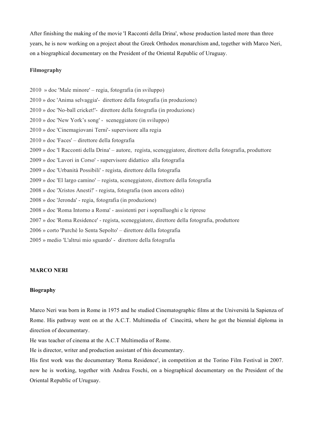After finishing the making of the movie 'I Racconti della Drina', whose production lasted more than three years, he is now working on a project about the Greek Orthodox monarchism and, together with Marco Neri, on a biographical documentary on the President of the Oriental Republic of Uruguay.

### **Filmography**

2010 » doc 'Male minore' – regia, fotografia (in sviluppo) 2010 » doc 'Anima selvaggia'- direttore della fotografia (in produzione) 2010 » doc 'No-ball cricket!'- direttore della fotografia (in produzione) 2010 » doc 'New York's song' - sceneggiatore (in sviluppo) 2010 » doc 'Cinemagiovani Terni'- supervisore alla regia 2010 » doc 'Faces' – direttore della fotografia 2009 » doc 'I Racconti della Drina' – autore, regista, sceneggiatore, direttore della fotografia, produttore 2009 » doc 'Lavori in Corso' - supervisore didattico alla fotografia 2009 » doc 'Urbanità Possibili' - regista, direttore della fotografia 2009 » doc 'El largo camino' – regista, sceneggiatore, direttore della fotografia 2008 » doc 'Xristos Anesti!' - regista, fotografia (non ancora edito) 2008 » doc 'Jeronda' - regia, fotografia (in produzione) 2008 » doc 'Roma Intorno a Roma' - assistenti per i sopralluoghi e le riprese 2007 » doc 'Roma Residence' - regista, sceneggiatore, direttore della fotografia, produttore 2006 » corto 'Purchè lo Senta Sepolto' – direttore della fotografia 2005 » medio 'L'altrui mio sguardo' - direttore della fotografia

# **MARCO NERI**

#### **Biography**

Marco Neri was born in Rome in 1975 and he studied Cinematographic films at the Università la Sapienza of Rome. His pathway went on at the A.C.T. Multimedia of Cinecittà, where he got the biennial diploma in direction of documentary.

He was teacher of cinema at the A.C.T Multimedia of Rome.

He is director, writer and production assistant of this documentary.

His first work was the documentary 'Roma Residence', in competition at the Torino Film Festival in 2007. now he is working, together with Andrea Foschi, on a biographical documentary on the President of the Oriental Republic of Uruguay.